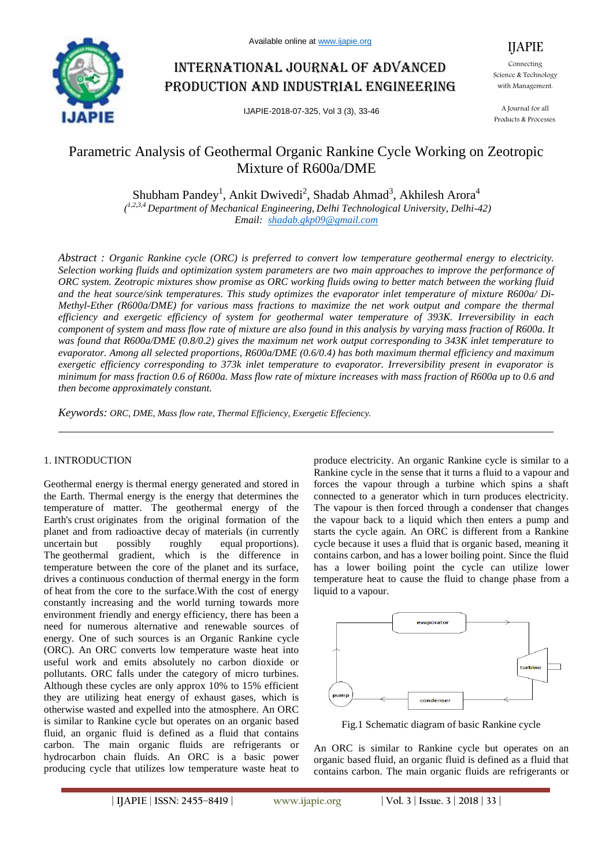

# International journal of advanced production and industrial engineering

IJAPIE-2018-07-325, Vol 3 (3), 33-46

IJAPIE Connecting Science & Technology with Management.

A Journal for all Products & Processes.

# Parametric Analysis of Geothermal Organic Rankine Cycle Working on Zeotropic Mixture of R600a/DME

Shubham Pandey<sup>1</sup>, Ankit Dwivedi<sup>2</sup>, Shadab Ahmad<sup>3</sup>, Akhilesh Arora<sup>4</sup> *( 1,2,3,4 Department of Mechanical Engineering, Delhi Technological University, Delhi-42) Email: shadab.gkp09@gmail.com*

*Abstract : Organic Rankine cycle (ORC) is preferred to convert low temperature geothermal energy to electricity. Selection working fluids and optimization system parameters are two main approaches to improve the performance of ORC system. Zeotropic mixtures show promise as ORC working fluids owing to better match between the working fluid and the heat source/sink temperatures. This study optimizes the evaporator inlet temperature of mixture R600a/ Di-Methyl-Ether (R600a/DME) for various mass fractions to maximize the net work output and compare the thermal efficiency and exergetic efficiency of system for geothermal water temperature of 393K. Irreversibility in each component of system and mass flow rate of mixture are also found in this analysis by varying mass fraction of R600a. It was found that R600a/DME (0.8/0.2) gives the maximum net work output corresponding to 343K inlet temperature to evaporator. Among all selected proportions, R600a/DME (0.6/0.4) has both maximum thermal efficiency and maximum exergetic efficiency corresponding to 373k inlet temperature to evaporator. Irreversibility present in evaporator is minimum for mass fraction 0.6 of R600a. Mass flow rate of mixture increases with mass fraction of R600a up to 0.6 and then become approximately constant.*

*Keywords: ORC, DME, Mass flow rate, Thermal Efficiency, Exergetic Effeciency.*

### 1. INTRODUCTION

Geothermal energy is thermal energy generated and stored in the Earth. Thermal energy is the energy that determines the temperature of matter. The geothermal energy of the Earth's crust originates from the original formation of the planet and from radioactive decay of materials (in currently uncertain but possibly roughly equal proportions). The geothermal gradient, which is the difference in temperature between the core of the planet and its surface, drives a continuous conduction of thermal energy in the form of heat from the core to the surface.With the cost of energy constantly increasing and the world turning towards more environment friendly and energy efficiency, there has been a need for numerous alternative and renewable sources of energy. One of such sources is an Organic Rankine cycle (ORC). An ORC converts low temperature waste heat into useful work and emits absolutely no carbon dioxide or pollutants. ORC falls under the category of micro turbines. Although these cycles are only approx 10% to 15% efficient they are utilizing heat energy of exhaust gases, which is otherwise wasted and expelled into the atmosphere. An ORC is similar to Rankine cycle but operates on an organic based fluid, an organic fluid is defined as a fluid that contains carbon. The main organic fluids are refrigerants or hydrocarbon chain fluids. An ORC is a basic power producing cycle that utilizes low temperature waste heat to

produce electricity. An organic Rankine cycle is similar to a Rankine cycle in the sense that it turns a fluid to a vapour and forces the vapour through a turbine which spins a shaft connected to a generator which in turn produces electricity. The vapour is then forced through a condenser that changes the vapour back to a liquid which then enters a pump and starts the cycle again. An ORC is different from a Rankine cycle because it uses a fluid that is organic based, meaning it contains carbon, and has a lower boiling point. Since the fluid has a lower boiling point the cycle can utilize lower temperature heat to cause the fluid to change phase from a liquid to a vapour.



Fig.1 Schematic diagram of basic Rankine cycle

An ORC is similar to Rankine cycle but operates on an organic based fluid, an organic fluid is defined as a fluid that contains carbon. The main organic fluids are refrigerants or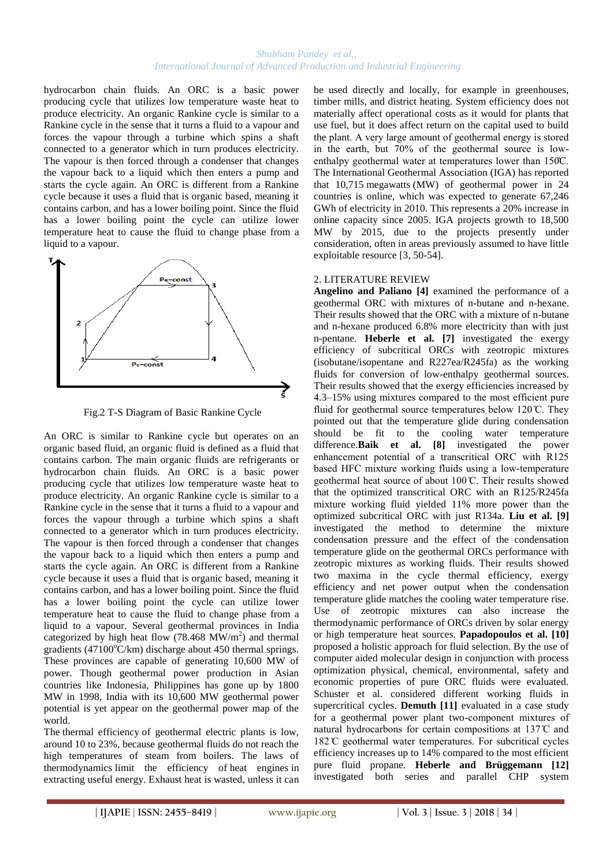hydrocarbon chain fluids. An ORC is a basic power producing cycle that utilizes low temperature waste heat to produce electricity. An organic Rankine cycle is similar to a Rankine cycle in the sense that it turns a fluid to a vapour and forces the vapour through a turbine which spins a shaft connected to a generator which in turn produces electricity. The vapour is then forced through a condenser that changes the vapour back to a liquid which then enters a pump and starts the cycle again. An ORC is different from a Rankine cycle because it uses a fluid that is organic based, meaning it contains carbon, and has a lower boiling point. Since the fluid has a lower boiling point the cycle can utilize lower temperature heat to cause the fluid to change phase from a liquid to a vapour.



Fig.2 T-S Diagram of Basic Rankine Cycle

An ORC is similar to Rankine cycle but operates on an organic based fluid, an organic fluid is defined as a fluid that contains carbon. The main organic fluids are refrigerants or hydrocarbon chain fluids. An ORC is a basic power producing cycle that utilizes low temperature waste heat to produce electricity. An organic Rankine cycle is similar to a Rankine cycle in the sense that it turns a fluid to a vapour and forces the vapour through a turbine which spins a shaft connected to a generator which in turn produces electricity. The vapour is then forced through a condenser that changes the vapour back to a liquid which then enters a pump and starts the cycle again. An ORC is different from a Rankine cycle because it uses a fluid that is organic based, meaning it contains carbon, and has a lower boiling point. Since the fluid has a lower boiling point the cycle can utilize lower temperature heat to cause the fluid to change phase from a liquid to a vapour. Several geothermal provinces in India categorized by high heat flow  $(78.468 \text{ MW/m}^2)$  and thermal gradients (47100 $\degree$ C/km) discharge about 450 thermal springs. These provinces are capable of generating 10,600 MW of power. Though geothermal power production in Asian countries like Indonesia, Philippines has gone up by 1800 MW in 1998, India with its 10,600 MW geothermal power potential is yet appear on the geothermal power map of the world.

The thermal efficiency of geothermal electric plants is low, around 10 to 23%, because geothermal fluids do not reach the high temperatures of steam from boilers. The laws of thermodynamics limit the efficiency of heat engines in extracting useful energy. Exhaust heat is wasted, unless it can be used directly and locally, for example in greenhouses, timber mills, and district heating. System efficiency does not materially affect operational costs as it would for plants that use fuel, but it does affect return on the capital used to build the plant. A very large amount of geothermal energy is stored in the earth, but 70% of the geothermal source is lowenthalpy geothermal water at temperatures lower than 150°C. The International Geothermal Association (IGA) has reported that 10,715 megawatts (MW) of geothermal power in 24 countries is online, which was expected to generate 67,246 GWh of electricity in 2010. This represents a 20% increase in online capacity since 2005. IGA projects growth to 18,500 MW by 2015, due to the projects presently under consideration, often in areas previously assumed to have little exploitable resource [3, 50-54].

# 2. LITERATURE REVIEW

**Angelino and Paliano [4]** examined the performance of a geothermal ORC with mixtures of n-butane and n-hexane. Their results showed that the ORC with a mixture of n-butane and n-hexane produced 6.8% more electricity than with just n-pentane. **Heberle et al. [7]** investigated the exergy efficiency of subcritical ORCs with zeotropic mixtures (isobutane/isopentane and R227ea/R245fa) as the working fluids for conversion of low-enthalpy geothermal sources. Their results showed that the exergy efficiencies increased by 4.3–15% using mixtures compared to the most efficient pure fluid for geothermal source temperatures below  $120 \, \text{C}$ . They pointed out that the temperature glide during condensation should be fit to the cooling water temperature difference.**Baik et al. [8]** investigated the power enhancement potential of a transcritical ORC with R125 based HFC mixture working fluids using a low-temperature geothermal heat source of about 100 °C. Their results showed that the optimized transcritical ORC with an R125/R245fa mixture working fluid yielded 11% more power than the optimized subcritical ORC with just R134a. **Liu et al. [9]** investigated the method to determine the mixture condensation pressure and the effect of the condensation temperature glide on the geothermal ORCs performance with zeotropic mixtures as working fluids. Their results showed two maxima in the cycle thermal efficiency, exergy efficiency and net power output when the condensation temperature glide matches the cooling water temperature rise. Use of zeotropic mixtures can also increase the thermodynamic performance of ORCs driven by solar energy or high temperature heat sources. **Papadopoulos et al. [10]** proposed a holistic approach for fluid selection. By the use of computer aided molecular design in conjunction with process optimization physical, chemical, environmental, safety and economic properties of pure ORC fluids were evaluated. Schuster et al. considered different working fluids in supercritical cycles. **Demuth [11]** evaluated in a case study for a geothermal power plant two natural hydrocarbons for certain compositions at 137°C and 182°C geothermal water temperatures. For subcritical cycles efficiency increases up to 14% compared to the most efficient pure fluid propane. **Heberle and Brüggemann [12]** investigated both series and parallel CHP system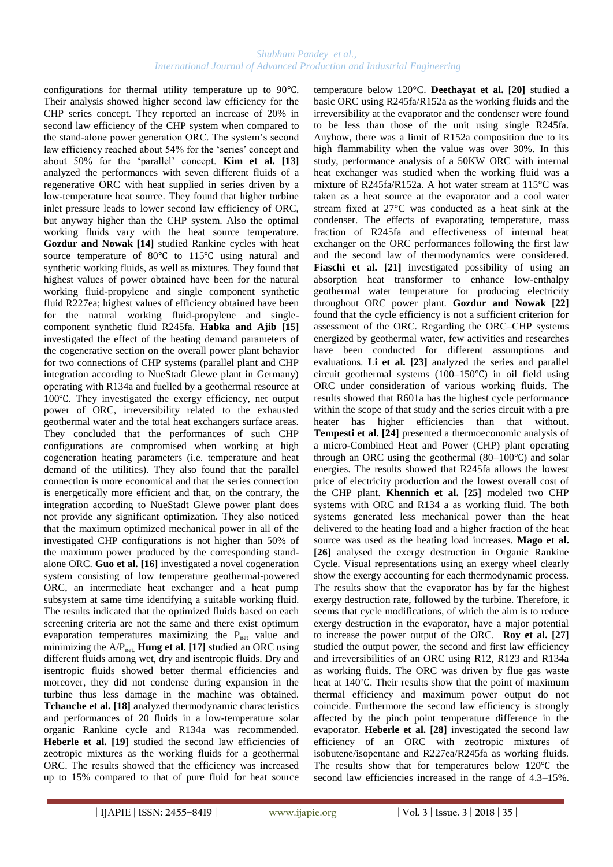configurations for thermal utility temperature up to 90℃. Their analysis showed higher second law efficiency for the CHP series concept. They reported an increase of 20% in second law efficiency of the CHP system when compared to the stand-alone power generation ORC. The system's second law efficiency reached about 54% for the 'series' concept and about 50% for the 'parallel' concept. **Kim et al.** [13] analyzed the performances with seven different fluids of a regenerative ORC with heat supplied in series driven by a low-temperature heat source. They found that higher turbine inlet pressure leads to lower second law efficiency of ORC, but anyway higher than the CHP system. Also the optimal working fluids vary with the heat source temperature. **Gozdur and Nowak [14]** studied Rankine cycles with heat source temperature of 80℃ to 115℃ using natural and synthetic working fluids, as well as mixtures. They found that highest values of power obtained have been for the natural working fluid-propylene and single component synthetic fluid R227ea; highest values of efficiency obtained have been for the natural working fluid-propylene and singlecomponent synthetic fluid R245fa. **Habka and Ajib [15]** investigated the effect of the heating demand parameters of the cogenerative section on the overall power plant behavior for two connections of CHP systems (parallel plant and CHP integration according to NueStadt Glewe plant in Germany) operating with R134a and fuelled by a geothermal resource at 100℃. They investigated the exergy efficiency, net output power of ORC, irreversibility related to the exhausted geothermal water and the total heat exchangers surface areas. They concluded that the performances of such CHP configurations are compromised when working at high cogeneration heating parameters (i.e. temperature and heat demand of the utilities). They also found that the parallel connection is more economical and that the series connection is energetically more efficient and that, on the contrary, the integration according to NueStadt Glewe power plant does not provide any significant optimization. They also noticed that the maximum optimized mechanical power in all of the investigated CHP configurations is not higher than 50% of the maximum power produced by the corresponding standalone ORC. **Guo et al. [16]** investigated a novel cogeneration system consisting of low temperature geothermal-powered ORC, an intermediate heat exchanger and a heat pump subsystem at same time identifying a suitable working fluid. The results indicated that the optimized fluids based on each screening criteria are not the same and there exist optimum evaporation temperatures maximizing the P<sub>net</sub> value and minimizing the A/P<sub>net.</sub> **Hung et al.** [17] studied an ORC using different fluids among wet, dry and isentropic fluids. Dry and isentropic fluids showed better thermal efficiencies and moreover, they did not condense during expansion in the turbine thus less damage in the machine was obtained. **Tchanche et al. [18]** analyzed thermodynamic characteristics and performances of 20 fluids in a low-temperature solar organic Rankine cycle and R134a was recommended. Heberle et al. [19] studied the second law efficiencies of zeotropic mixtures as the working fluids for a geothermal ORC. The results showed that the efficiency was increased up to 15% compared to that of pure fluid for heat source

temperature below 120°C. **Deethayat et al. [20]** studied a basic ORC using R245fa/R152a as the working fluids and the irreversibility at the evaporator and the condenser were found to be less than those of the unit using single R245fa. Anyhow, there was a limit of R152a composition due to its high flammability when the value was over 30%. In this study, performance analysis of a 50KW ORC with internal heat exchanger was studied when the working fluid was a mixture of R245fa/R152a. A hot water stream at 115°C was taken as a heat source at the evaporator and a cool water stream fixed at 27°C was conducted as a heat sink at the condenser. The effects of evaporating temperature, mass fraction of R245fa and effectiveness of internal heat exchanger on the ORC performances following the first law and the second law of thermodynamics were considered. Fiaschi et al. [21] investigated possibility of using an absorption heat transformer to enhance low-enthalpy geothermal water temperature for producing electricity throughout ORC power plant. **Gozdur and Nowak [22]** found that the cycle efficiency is not a sufficient criterion for assessment of the ORC. Regarding the ORC–CHP systems energized by geothermal water, few activities and researches have been conducted for different assumptions and evaluations. **Li et al. [23]** analyzed the series and parallel circuit geothermal systems (100–150℃) in oil field using ORC under consideration of various working fluids. The results showed that R601a has the highest cycle performance within the scope of that study and the series circuit with a pre heater has higher efficiencies than that without. **Tempesti et al. [24]** presented a thermoeconomic analysis of a micro-Combined Heat and Power (CHP) plant operating through an ORC using the geothermal (80–100℃) and solar energies. The results showed that R245fa allows the lowest price of electricity production and the lowest overall cost of the CHP plant. **Khennich et al. [25]** modeled two CHP systems with ORC and R134 a as working fluid. The both systems generated less mechanical power than the heat delivered to the heating load and a higher fraction of the heat source was used as the heating load increases. **Mago et al. [26]** analysed the exergy destruction in Organic Rankine Cycle. Visual representations using an exergy wheel clearly show the exergy accounting for each thermodynamic process. The results show that the evaporator has by far the highest exergy destruction rate, followed by the turbine. Therefore, it seems that cycle modifications, of which the aim is to reduce exergy destruction in the evaporator, have a major potential to increase the power output of the ORC. **Roy et al. [27]** studied the output power, the second and first law efficiency and irreversibilities of an ORC using R12, R123 and R134a as working fluids. The ORC was driven by flue gas waste heat at 140℃. Their results show that the point of maximum thermal efficiency and maximum power output do not coincide. Furthermore the second law efficiency is strongly affected by the pinch point temperature difference in the evaporator. **Heberle et al. [28]** investigated the second law efficiency of an ORC with zeotropic mixtures of isobutene/isopentane and R227ea/R245fa as working fluids. The results show that for temperatures below 120℃ the second law efficiencies increased in the range of 4.3–15%.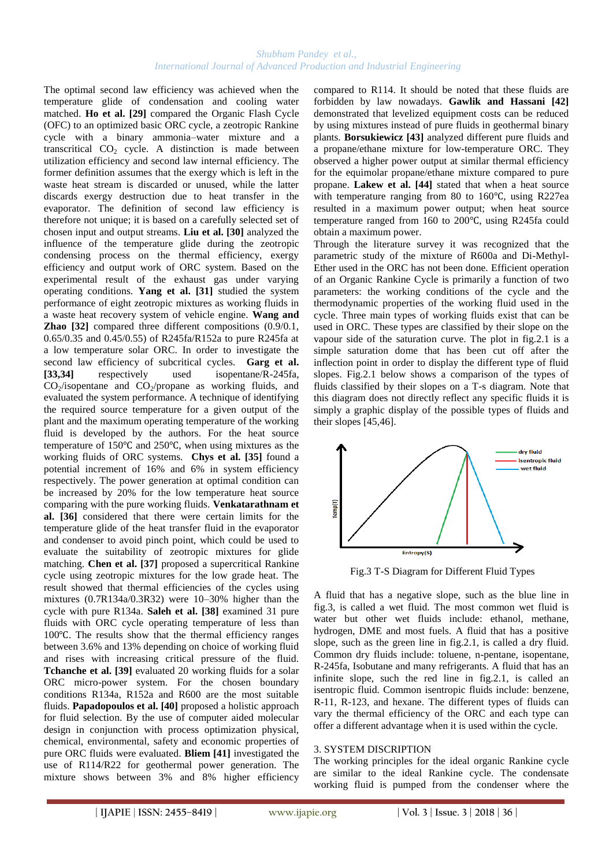The optimal second law efficiency was achieved when the temperature glide of condensation and cooling water matched. **Ho et al. [29]** compared the Organic Flash Cycle (OFC) to an optimized basic ORC cycle, a zeotropic Rankine cycle with a binary ammonia–water mixture and a transcritical  $CO<sub>2</sub>$  cycle. A distinction is made between utilization efficiency and second law internal efficiency. The former definition assumes that the exergy which is left in the waste heat stream is discarded or unused, while the latter discards exergy destruction due to heat transfer in the evaporator. The definition of second law efficiency is therefore not unique; it is based on a carefully selected set of chosen input and output streams. **Liu et al. [30]** analyzed the influence of the temperature glide during the zeotropic condensing process on the thermal efficiency, exergy efficiency and output work of ORC system. Based on the experimental result of the exhaust gas under varying operating conditions. **Yang et al. [31]** studied the system performance of eight zeotropic mixtures as working fluids in a waste heat recovery system of vehicle engine. **Wang and Zhao [32]** compared three different compositions (0.9/0.1, 0.65/0.35 and 0.45/0.55) of R245fa/R152a to pure R245fa at a low temperature solar ORC. In order to investigate the second law efficiency of subcritical cycles. **Garg et al. [33,34]** respectively used isopentane/R-245fa,  $CO<sub>2</sub>/isopentane$  and  $CO<sub>2</sub>/propane$  as working fluids, and evaluated the system performance. A technique of identifying the required source temperature for a given output of the plant and the maximum operating temperature of the working fluid is developed by the authors. For the heat source temperature of 150℃ and 250℃, when using mixtures as the working fluids of ORC systems. **Chys et al. [35]** found a potential increment of 16% and 6% in system efficiency respectively. The power generation at optimal condition can be increased by 20% for the low temperature heat source comparing with the pure working fluids. **Venkatarathnam et al. [36]** considered that there were certain limits for the temperature glide of the heat transfer fluid in the evaporator and condenser to avoid pinch point, which could be used to evaluate the suitability of zeotropic mixtures for glide matching. **Chen et al. [37]** proposed a supercritical Rankine cycle using zeotropic mixtures for the low grade heat. The result showed that thermal efficiencies of the cycles using mixtures (0.7R134a/0.3R32) were 10–30% higher than the cycle with pure R134a. **Saleh et al. [38]** examined 31 pure fluids with ORC cycle operating temperature of less than 100℃. The results show that the thermal efficiency ranges between 3.6% and 13% depending on choice of working fluid and rises with increasing critical pressure of the fluid. **Tchanche et al. [39]** evaluated 20 working fluids for a solar ORC micro-power system. For the chosen boundary conditions R134a, R152a and R600 are the most suitable fluids. **Papadopoulos et al. [40]** proposed a holistic approach for fluid selection. By the use of computer aided molecular design in conjunction with process optimization physical, chemical, environmental, safety and economic properties of pure ORC fluids were evaluated. **Bliem [41]** investigated the use of R114/R22 for geothermal power generation. The mixture shows between 3% and 8% higher efficiency

compared to R114. It should be noted that these fluids are forbidden by law nowadays. **Gawlik and Hassani [42]** demonstrated that levelized equipment costs can be reduced by using mixtures instead of pure fluids in geothermal binary plants. **Borsukiewicz [43]** analyzed different pure fluids and a propane/ethane mixture for low-temperature ORC. They observed a higher power output at similar thermal efficiency for the equimolar propane/ethane mixture compared to pure propane. **Lakew et al. [44]** stated that when a heat source with temperature ranging from 80 to 160℃, using R227ea resulted in a maximum power output; when heat source temperature ranged from 160 to 200℃, using R245fa could obtain a maximum power.

Through the literature survey it was recognized that the parametric study of the mixture of R600a and Di-Methyl-Ether used in the ORC has not been done. Efficient operation of an Organic Rankine Cycle is primarily a function of two parameters: the working conditions of the cycle and the thermodynamic properties of the working fluid used in the cycle. Three main types of working fluids exist that can be used in ORC. These types are classified by their slope on the vapour side of the saturation curve. The plot in fig.2.1 is a simple saturation dome that has been cut off after the inflection point in order to display the different type of fluid slopes. Fig.2.1 below shows a comparison of the types of fluids classified by their slopes on a T-s diagram. Note that this diagram does not directly reflect any specific fluids it is simply a graphic display of the possible types of fluids and their slopes [45,46].



Fig.3 T-S Diagram for Different Fluid Types

A fluid that has a negative slope, such as the blue line in fig.3, is called a wet fluid. The most common wet fluid is water but other wet fluids include: ethanol, methane, hydrogen, DME and most fuels. A fluid that has a positive slope, such as the green line in fig.2.1, is called a dry fluid. Common dry fluids include: toluene, n-pentane, isopentane, R-245fa, Isobutane and many refrigerants. A fluid that has an infinite slope, such the red line in fig.2.1, is called an isentropic fluid. Common isentropic fluids include: benzene, R-11, R-123, and hexane. The different types of fluids can vary the thermal efficiency of the ORC and each type can offer a different advantage when it is used within the cycle.

### 3. SYSTEM DISCRIPTION

The working principles for the ideal organic Rankine cycle are similar to the ideal Rankine cycle. The condensate working fluid is pumped from the condenser where the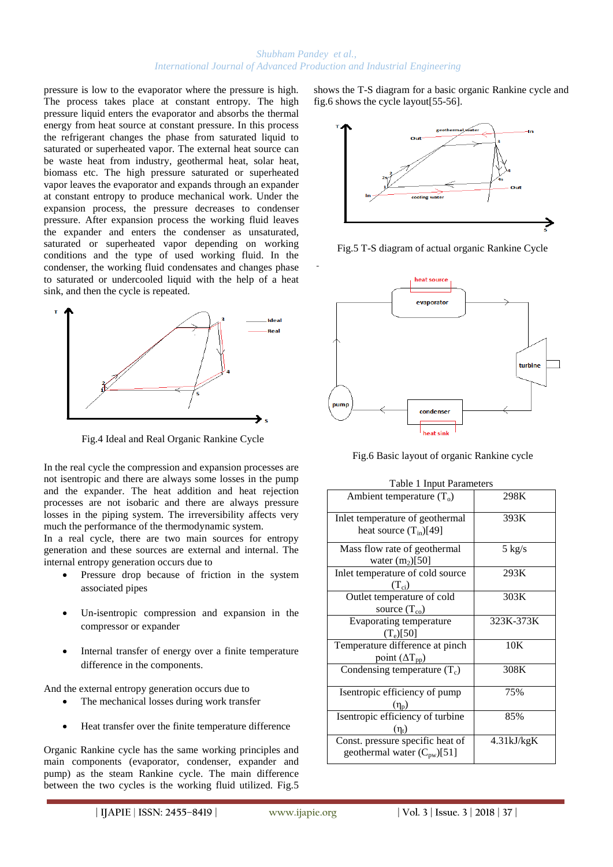pressure is low to the evaporator where the pressure is high. The process takes place at constant entropy. The high pressure liquid enters the evaporator and absorbs the thermal energy from heat source at constant pressure. In this process the refrigerant changes the phase from saturated liquid to saturated or superheated vapor. The external heat source can be waste heat from industry, geothermal heat, solar heat, biomass etc. The high pressure saturated or superheated vapor leaves the evaporator and expands through an expander at constant entropy to produce mechanical work. Under the expansion process, the pressure decreases to condenser pressure. After expansion process the working fluid leaves the expander and enters the condenser as unsaturated, saturated or superheated vapor depending on working conditions and the type of used working fluid. In the condenser, the working fluid condensates and changes phase to saturated or undercooled liquid with the help of a heat sink, and then the cycle is repeated.



Fig.4 Ideal and Real Organic Rankine Cycle

In the real cycle the compression and expansion processes are not isentropic and there are always some losses in the pump and the expander. The heat addition and heat rejection processes are not isobaric and there are always pressure losses in the piping system. The irreversibility affects very much the performance of the thermodynamic system.

In a real cycle, there are two main sources for entropy generation and these sources are external and internal. The internal entropy generation occurs due to

- Pressure drop because of friction in the system associated pipes
- Un-isentropic compression and expansion in the compressor or expander
- Internal transfer of energy over a finite temperature difference in the components.

And the external entropy generation occurs due to

- The mechanical losses during work transfer
- Heat transfer over the finite temperature difference

Organic Rankine cycle has the same working principles and main components (evaporator, condenser, expander and pump) as the steam Rankine cycle. The main difference between the two cycles is the working fluid utilized. Fig.5 shows the T-S diagram for a basic organic Rankine cycle and fig.6 shows the cycle layout[55-56].



Fig.5 T-S diagram of actual organic Rankine Cycle



Fig.6 Basic layout of organic Rankine cycle

| Ambient temperature $(T_0)$                                          | 298K             |
|----------------------------------------------------------------------|------------------|
| Inlet temperature of geothermal<br>heat source $(T_{in})$ [49]       | 393K             |
| Mass flow rate of geothermal<br>water $(m2)[50]$                     | $5 \text{ kg/s}$ |
| Inlet temperature of cold source<br>$(T_{ci})$                       | 293K             |
| Outlet temperature of cold<br>source $(T_{\rm co})$                  | 303K             |
| <b>Evaporating temperature</b><br>$(T_e)[50]$                        | 323K-373K        |
| Temperature difference at pinch<br>point $(\Delta T_{pp})$           | 10K              |
| Condensing temperature $(T_c)$                                       | 308K             |
| Isentropic efficiency of pump<br>$(n_n)$                             | 75%              |
| Isentropic efficiency of turbine<br>$(\eta_t)$                       | 85%              |
| Const. pressure specific heat of<br>geothermal water $(C_{pw})$ [51] | 4.31kJ/kgK       |

Table 1 Input Parameters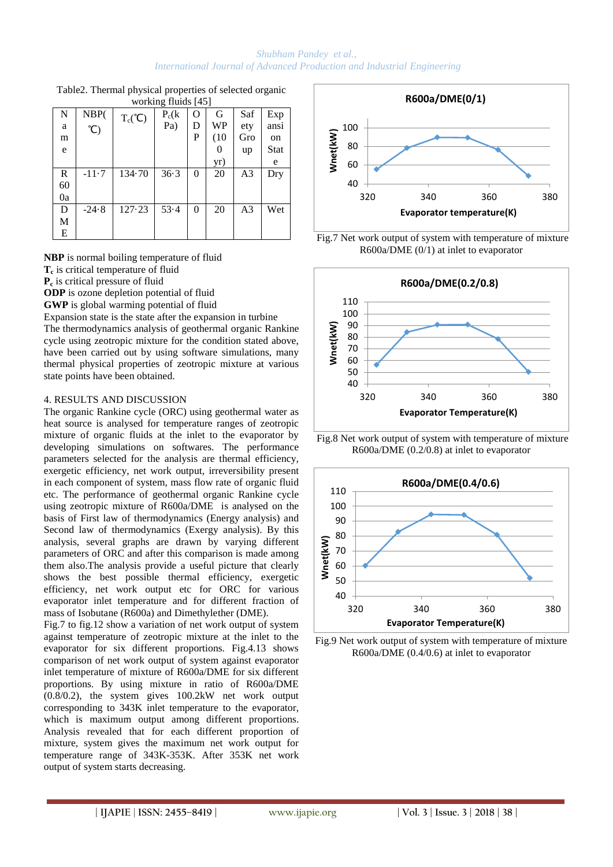| N  | NBP(    |                           | $\frac{1}{2}$<br>$P_c(k)$ | $\Omega$ | G    | Saf | Exp         |
|----|---------|---------------------------|---------------------------|----------|------|-----|-------------|
| a  |         | $T_c(^{\circ}\mathsf{C})$ | Pa)                       | D        | WP   | ety | ansi        |
| m  | C       |                           |                           | P        | (10) | Gro | on          |
| e  |         |                           |                           |          | 0    | up  | <b>Stat</b> |
|    |         |                           |                           |          | yr)  |     | e           |
| R  | $-11.7$ | 134.70                    | 36.3                      | $\theta$ | 20   | A3  | Dry         |
| 60 |         |                           |                           |          |      |     |             |
| 0a |         |                           |                           |          |      |     |             |
| D  | $-24.8$ | 127.23                    | 53.4                      | $\theta$ | 20   | A3  | Wet         |
| M  |         |                           |                           |          |      |     |             |
| E  |         |                           |                           |          |      |     |             |

Table2. Thermal physical properties of selected organic working fluids [45]

**NBP** is normal boiling temperature of fluid

- **Tc** is critical temperature of fluid
- **Pc** is critical pressure of fluid

**ODP** is ozone depletion potential of fluid

**GWP** is global warming potential of fluid

Expansion state is the state after the expansion in turbine The thermodynamics analysis of geothermal organic Rankine cycle using zeotropic mixture for the condition stated above, have been carried out by using software simulations, many thermal physical properties of zeotropic mixture at various state points have been obtained.

## 4. RESULTS AND DISCUSSION

The organic Rankine cycle (ORC) using geothermal water as heat source is analysed for temperature ranges of zeotropic mixture of organic fluids at the inlet to the evaporator by developing simulations on softwares. The performance parameters selected for the analysis are thermal efficiency, exergetic efficiency, net work output, irreversibility present in each component of system, mass flow rate of organic fluid etc. The performance of geothermal organic Rankine cycle using zeotropic mixture of R600a/DME is analysed on the basis of First law of thermodynamics (Energy analysis) and Second law of thermodynamics (Exergy analysis). By this analysis, several graphs are drawn by varying different parameters of ORC and after this comparison is made among them also.The analysis provide a useful picture that clearly shows the best possible thermal efficiency, exergetic efficiency, net work output etc for ORC for various evaporator inlet temperature and for different fraction of mass of Isobutane (R600a) and Dimethylether (DME).

Fig.7 to fig.12 show a variation of net work output of system against temperature of zeotropic mixture at the inlet to the evaporator for six different proportions. Fig.4.13 shows comparison of net work output of system against evaporator inlet temperature of mixture of R600a/DME for six different proportions. By using mixture in ratio of R600a/DME (0.8/0.2), the system gives 100.2kW net work output corresponding to 343K inlet temperature to the evaporator, which is maximum output among different proportions. Analysis revealed that for each different proportion of mixture, system gives the maximum net work output for temperature range of 343K-353K. After 353K net work output of system starts decreasing.



Fig.7 Net work output of system with temperature of mixture R600a/DME (0/1) at inlet to evaporator



Fig.8 Net work output of system with temperature of mixture R600a/DME (0.2/0.8) at inlet to evaporator



Fig.9 Net work output of system with temperature of mixture R600a/DME (0.4/0.6) at inlet to evaporator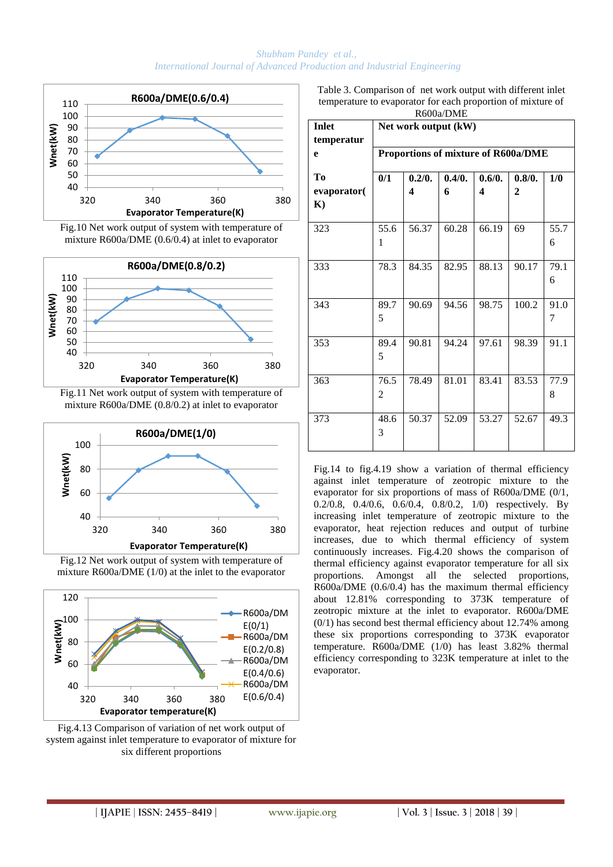

Fig.10 Net work output of system with temperature of mixture R600a/DME (0.6/0.4) at inlet to evaporator



mixture R600a/DME (0.8/0.2) at inlet to evaporator



Fig.12 Net work output of system with temperature of mixture R600a/DME (1/0) at the inlet to the evaporator



Fig.4.13 Comparison of variation of net work output of system against inlet temperature to evaporator of mixture for six different proportions

Table 3. Comparison of net work output with different inlet temperature to evaporator for each proportion of mixture of R600a/DME

| R600a/DME    |                      |                                     |        |        |              |      |  |  |  |
|--------------|----------------------|-------------------------------------|--------|--------|--------------|------|--|--|--|
| <b>Inlet</b> | Net work output (kW) |                                     |        |        |              |      |  |  |  |
| temperatur   |                      |                                     |        |        |              |      |  |  |  |
| e            |                      | Proportions of mixture of R600a/DME |        |        |              |      |  |  |  |
| Tо           | 0/1                  | 0.2/0.                              | 0.4/0. | 0.6/0. | 0.8/0.       | 1/0  |  |  |  |
| evaporator(  |                      | $\boldsymbol{4}$                    | 6      | 4      | $\mathbf{2}$ |      |  |  |  |
| $\mathbf{K}$ |                      |                                     |        |        |              |      |  |  |  |
| 323          | 55.6                 | 56.37                               | 60.28  | 66.19  | 69           | 55.7 |  |  |  |
|              |                      |                                     |        |        |              |      |  |  |  |
|              | 1                    |                                     |        |        |              | 6    |  |  |  |
| 333          | 78.3                 | 84.35                               | 82.95  | 88.13  | 90.17        | 79.1 |  |  |  |
|              |                      |                                     |        |        |              | 6    |  |  |  |
|              |                      |                                     |        |        |              |      |  |  |  |
| 343          | 89.7                 | 90.69                               | 94.56  | 98.75  | 100.2        | 91.0 |  |  |  |
|              | 5                    |                                     |        |        |              | 7    |  |  |  |
| 353          | 89.4                 | 90.81                               | 94.24  | 97.61  | 98.39        | 91.1 |  |  |  |
|              | 5                    |                                     |        |        |              |      |  |  |  |
|              |                      |                                     |        |        |              |      |  |  |  |
| 363          | 76.5                 | 78.49                               | 81.01  | 83.41  | 83.53        | 77.9 |  |  |  |
|              | $\overline{2}$       |                                     |        |        |              | 8    |  |  |  |
|              |                      |                                     |        |        |              |      |  |  |  |
| 373          | 48.6                 | 50.37                               | 52.09  | 53.27  | 52.67        | 49.3 |  |  |  |
|              | 3                    |                                     |        |        |              |      |  |  |  |
|              |                      |                                     |        |        |              |      |  |  |  |

Fig.14 to fig.4.19 show a variation of thermal efficiency against inlet temperature of zeotropic mixture to the evaporator for six proportions of mass of R600a/DME (0/1, 0.2/0.8, 0.4/0.6, 0.6/0.4, 0.8/0.2, 1/0) respectively. By increasing inlet temperature of zeotropic mixture to the evaporator, heat rejection reduces and output of turbine increases, due to which thermal efficiency of system continuously increases. Fig.4.20 shows the comparison of thermal efficiency against evaporator temperature for all six proportions. Amongst all the selected proportions, R600a/DME (0.6/0.4) has the maximum thermal efficiency about 12.81% corresponding to 373K temperature of zeotropic mixture at the inlet to evaporator. R600a/DME (0/1) has second best thermal efficiency about 12.74% among these six proportions corresponding to 373K evaporator temperature. R600a/DME (1/0) has least 3.82% thermal efficiency corresponding to 323K temperature at inlet to the evaporator.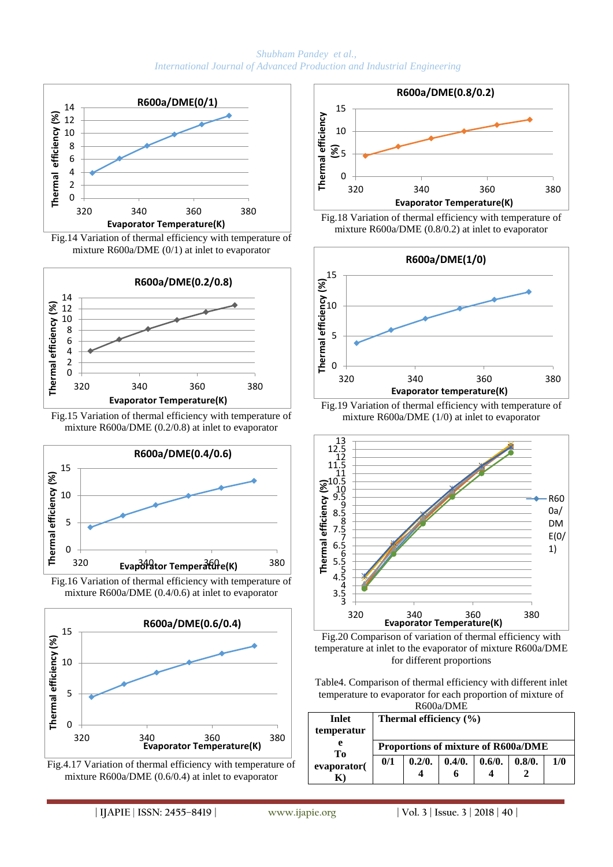

Fig.14 Variation of thermal efficiency with temperature of mixture R600a/DME (0/1) at inlet to evaporator



Fig.15 Variation of thermal efficiency with temperature of mixture R600a/DME (0.2/0.8) at inlet to evaporator





















Table4. Comparison of thermal efficiency with different inlet temperature to evaporator for each proportion of mixture of

| R600a/DME    |     |                                             |  |  |  |  |  |  |  |
|--------------|-----|---------------------------------------------|--|--|--|--|--|--|--|
| <b>Inlet</b> |     | Thermal efficiency (%)                      |  |  |  |  |  |  |  |
| temperatur   |     |                                             |  |  |  |  |  |  |  |
| е<br>Tо      |     | Proportions of mixture of R600a/DME         |  |  |  |  |  |  |  |
| evaporator(  | 0/1 | 0.4/0.<br>0.2/0.<br>0.8/0.<br>0.6/0.<br>1/0 |  |  |  |  |  |  |  |
|              |     |                                             |  |  |  |  |  |  |  |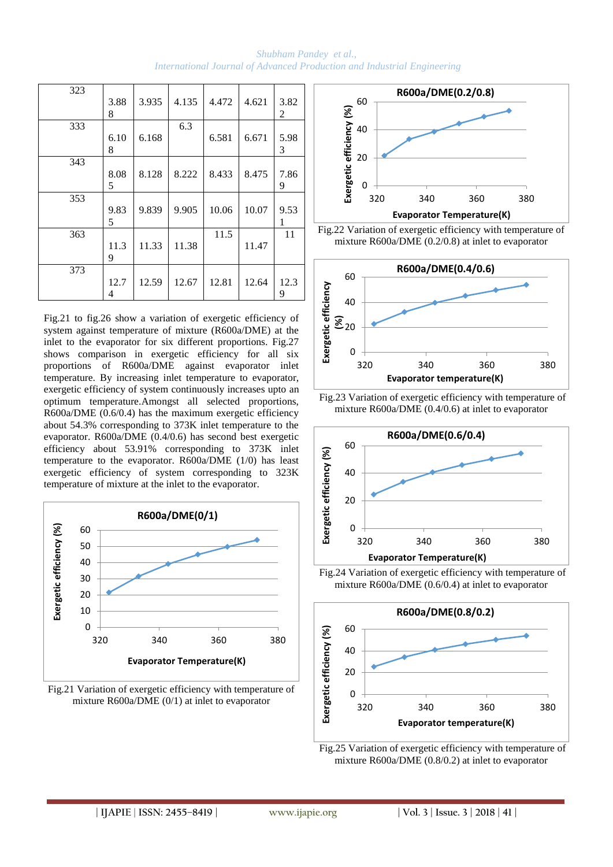*Shubham Pandey et al., International Journal of Advanced Production and Industrial Engineering*

| 323 | 3.88<br>8 | 3.935 | 4.135 | 4.472 | 4.621 | 3.82<br>2 |
|-----|-----------|-------|-------|-------|-------|-----------|
| 333 | 6.10<br>8 | 6.168 | 6.3   | 6.581 | 6.671 | 5.98<br>3 |
| 343 | 8.08<br>5 | 8.128 | 8.222 | 8.433 | 8.475 | 7.86<br>9 |
| 353 | 9.83<br>5 | 9.839 | 9.905 | 10.06 | 10.07 | 9.53<br>1 |
| 363 | 11.3<br>9 | 11.33 | 11.38 | 11.5  | 11.47 | 11        |
| 373 | 12.7<br>4 | 12.59 | 12.67 | 12.81 | 12.64 | 12.3<br>9 |

Fig.21 to fig.26 show a variation of exergetic efficiency of system against temperature of mixture (R600a/DME) at the inlet to the evaporator for six different proportions. Fig.27 shows comparison in exergetic efficiency for all six proportions of R600a/DME against evaporator inlet temperature. By increasing inlet temperature to evaporator, exergetic efficiency of system continuously increases upto an optimum temperature.Amongst all selected proportions, R600a/DME (0.6/0.4) has the maximum exergetic efficiency about 54.3% corresponding to 373K inlet temperature to the evaporator. R600a/DME (0.4/0.6) has second best exergetic efficiency about 53.91% corresponding to 373K inlet temperature to the evaporator. R600a/DME (1/0) has least exergetic efficiency of system corresponding to 323K temperature of mixture at the inlet to the evaporator.



Fig.21 Variation of exergetic efficiency with temperature of mixture R600a/DME (0/1) at inlet to evaporator



Fig.22 Variation of exergetic efficiency with temperature of mixture R600a/DME (0.2/0.8) at inlet to evaporator







Fig.24 Variation of exergetic efficiency with temperature of mixture R600a/DME (0.6/0.4) at inlet to evaporator



Fig.25 Variation of exergetic efficiency with temperature of mixture R600a/DME (0.8/0.2) at inlet to evaporator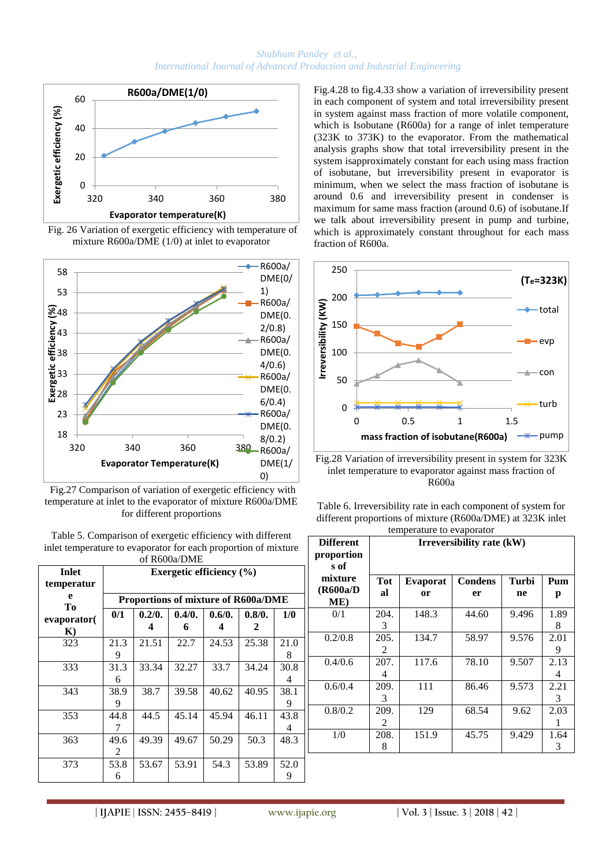

Fig. 26 Variation of exergetic efficiency with temperature of mixture R600a/DME (1/0) at inlet to evaporator



Fig.27 Comparison of variation of exergetic efficiency with temperature at inlet to the evaporator of mixture R600a/DME for different proportions

Table 5. Comparison of exergetic efficiency with different inlet temperature to evaporator for each proportion of mixture .<br>of D600a/DME

| <u>ULINUVALIMIL</u> |      |                                     |        |        |        |      |  |  |  |
|---------------------|------|-------------------------------------|--------|--------|--------|------|--|--|--|
| <b>Inlet</b>        |      | Exergetic efficiency $(\% )$        |        |        |        |      |  |  |  |
| temperatur          |      |                                     |        |        |        |      |  |  |  |
| e                   |      | Proportions of mixture of R600a/DME |        |        |        |      |  |  |  |
| Tо                  | 0/1  | 0.2/0.                              | 0.4/0. | 0.6/0. | 0.8/0. | 1/0  |  |  |  |
| evaporator          |      |                                     | 6      |        | 2      |      |  |  |  |
| $\bf K$             |      |                                     |        |        |        |      |  |  |  |
| 323                 | 21.3 | 21.51                               | 22.7   | 24.53  | 25.38  | 21.0 |  |  |  |
|                     | 9    |                                     |        |        |        | 8    |  |  |  |
| 333                 | 31.3 | 33.34                               | 32.27  | 33.7   | 34.24  | 30.8 |  |  |  |
|                     | 6    |                                     |        |        |        | 4    |  |  |  |
| 343                 | 38.9 | 38.7                                | 39.58  | 40.62  | 40.95  | 38.1 |  |  |  |
|                     | 9    |                                     |        |        |        | 9    |  |  |  |
| 353                 | 44.8 | 44.5                                | 45.14  | 45.94  | 46.11  | 43.8 |  |  |  |
|                     |      |                                     |        |        |        | 4    |  |  |  |
| 363                 | 49.6 | 49.39                               | 49.67  | 50.29  | 50.3   | 48.3 |  |  |  |
|                     | 2    |                                     |        |        |        |      |  |  |  |
| 373                 | 53.8 | 53.67                               | 53.91  | 54.3   | 53.89  | 52.0 |  |  |  |
|                     | 6    |                                     |        |        |        | 9    |  |  |  |

Fig.4.28 to fig.4.33 show a variation of irreversibility present in each component of system and total irreversibility present in system against mass fraction of more volatile component, which is Isobutane (R600a) for a range of inlet temperature (323K to 373K) to the evaporator. From the mathematical analysis graphs show that total irreversibility present in the system isapproximately constant for each using mass fraction of isobutane, but irreversibility present in evaporator is minimum, when we select the mass fraction of isobutane is around 0.6 and irreversibility present in condenser is maximum for same mass fraction (around 0.6) of isobutane.If we talk about irreversibility present in pump and turbine, which is approximately constant throughout for each mass fraction of R600a.



Fig.28 Variation of irreversibility present in system for 323K inlet temperature to evaporator against mass fraction of R600a

Table 6. Irreversibility rate in each component of system for different proportions of mixture (R600a/DME) at 323K inlet temperature to evaporator

| <b>Different</b><br>proportion<br>s of |           | Irreversibility rate (kW) |                      |             |           |  |  |  |  |
|----------------------------------------|-----------|---------------------------|----------------------|-------------|-----------|--|--|--|--|
| mixture<br>(R600a/D<br>ME)             | Tot<br>al | <b>Evaporat</b><br>or     | <b>Condens</b><br>er | Turbi<br>ne | Pum<br>p  |  |  |  |  |
| 0/1                                    | 204.<br>3 | 148.3                     | 44.60                | 9.496       | 1.89<br>8 |  |  |  |  |
| 0.2/0.8                                | 205.<br>2 | 134.7                     | 58.97                | 9.576       | 2.01<br>9 |  |  |  |  |
| 0.4/0.6                                | 207.<br>4 | 117.6                     | 78.10                | 9.507       | 2.13<br>4 |  |  |  |  |
| 0.6/0.4                                | 209.<br>3 | 111                       | 86.46                | 9.573       | 2.21<br>3 |  |  |  |  |
| 0.8/0.2                                | 209.<br>2 | 129                       | 68.54                | 9.62        | 2.03      |  |  |  |  |
| 1/0                                    | 208.<br>8 | 151.9                     | 45.75                | 9.429       | 1.64<br>3 |  |  |  |  |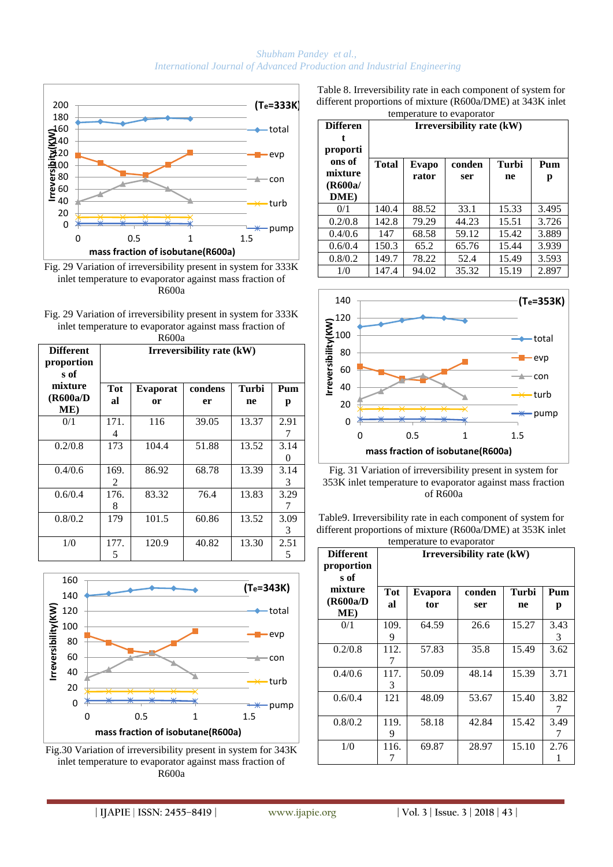

Fig. 29 Variation of irreversibility present in system for 333K inlet temperature to evaporator against mass fraction of R600a

Fig. 29 Variation of irreversibility present in system for 333K inlet temperature to evaporator against mass fraction of  $R600a$ 

|                                        | wood                      |                 |         |       |           |  |  |  |
|----------------------------------------|---------------------------|-----------------|---------|-------|-----------|--|--|--|
| <b>Different</b><br>proportion<br>s of | Irreversibility rate (kW) |                 |         |       |           |  |  |  |
| mixture                                | Tot                       | <b>Evaporat</b> | condens | Turbi | Pum       |  |  |  |
| (R600a/D<br>ME)                        | al                        | or              | er      | ne    | р         |  |  |  |
| 0/1                                    | 171.<br>4                 | 116             | 39.05   | 13.37 | 2.91      |  |  |  |
| 0.2/0.8                                | 173                       | 104.4           | 51.88   | 13.52 | 3.14<br>0 |  |  |  |
| 0.4/0.6                                | 169.<br>$\mathcal{L}$     | 86.92           | 68.78   | 13.39 | 3.14<br>3 |  |  |  |
| 0.6/0.4                                | 176.<br>8                 | 83.32           | 76.4    | 13.83 | 3.29<br>7 |  |  |  |
| 0.8/0.2                                | 179                       | 101.5           | 60.86   | 13.52 | 3.09<br>3 |  |  |  |
| 1/0                                    | 177.<br>5                 | 120.9           | 40.82   | 13.30 | 2.51<br>5 |  |  |  |



Fig.30 Variation of irreversibility present in system for 343K inlet temperature to evaporator against mass fraction of R600a

Table 8. Irreversibility rate in each component of system for different proportions of mixture (R600a/DME) at 343K inlet temperature to evaporator

| <b>Differen</b><br>t<br>proporti     | Irreversibility rate (kW) |                |               |             |          |  |  |  |
|--------------------------------------|---------------------------|----------------|---------------|-------------|----------|--|--|--|
| ons of<br>mixture<br>(R600a/<br>DME) | <b>Total</b>              | Evapo<br>rator | conden<br>ser | Turbi<br>ne | Pum<br>р |  |  |  |
| 0/1                                  | 140.4                     | 88.52          | 33.1          | 15.33       | 3.495    |  |  |  |
| 0.2/0.8                              | 142.8                     | 79.29          | 44.23         | 15.51       | 3.726    |  |  |  |
| 0.4/0.6                              | 147                       | 68.58          | 59.12         | 15.42       | 3.889    |  |  |  |
| 0.6/0.4                              | 150.3                     | 65.2           | 65.76         | 15.44       | 3.939    |  |  |  |
| 0.8/0.2                              | 149.7                     | 78.22          | 52.4          | 15.49       | 3.593    |  |  |  |
| 1/0                                  | 147.4                     | 94.02          | 35.32         | 15.19       | 2.897    |  |  |  |



Fig. 31 Variation of irreversibility present in system for 353K inlet temperature to evaporator against mass fraction of R600a

Table9. Irreversibility rate in each component of system for different proportions of mixture (R600a/DME) at 353K inlet temperature to evaporator

| <b>Different</b><br>proportion<br>s of |           | Irreversibility rate (kW) |               |             |           |  |  |  |  |
|----------------------------------------|-----------|---------------------------|---------------|-------------|-----------|--|--|--|--|
| mixture<br>(R600a/D<br>ME)             | Tot<br>al | Evapora<br>tor            | conden<br>ser | Turbi<br>ne | Pum<br>p  |  |  |  |  |
| 0/1                                    | 109.<br>9 | 64.59                     | 26.6          | 15.27       | 3.43<br>3 |  |  |  |  |
| 0.2/0.8                                | 112.      | 57.83                     | 35.8          | 15.49       | 3.62      |  |  |  |  |
| 0.4/0.6                                | 117.<br>3 | 50.09                     | 48.14         | 15.39       | 3.71      |  |  |  |  |
| 0.6/0.4                                | 121       | 48.09                     | 53.67         | 15.40       | 3.82      |  |  |  |  |
| 0.8/0.2                                | 119.<br>9 | 58.18                     | 42.84         | 15.42       | 3.49<br>7 |  |  |  |  |
| 1/0                                    | 116.      | 69.87                     | 28.97         | 15.10       | 2.76      |  |  |  |  |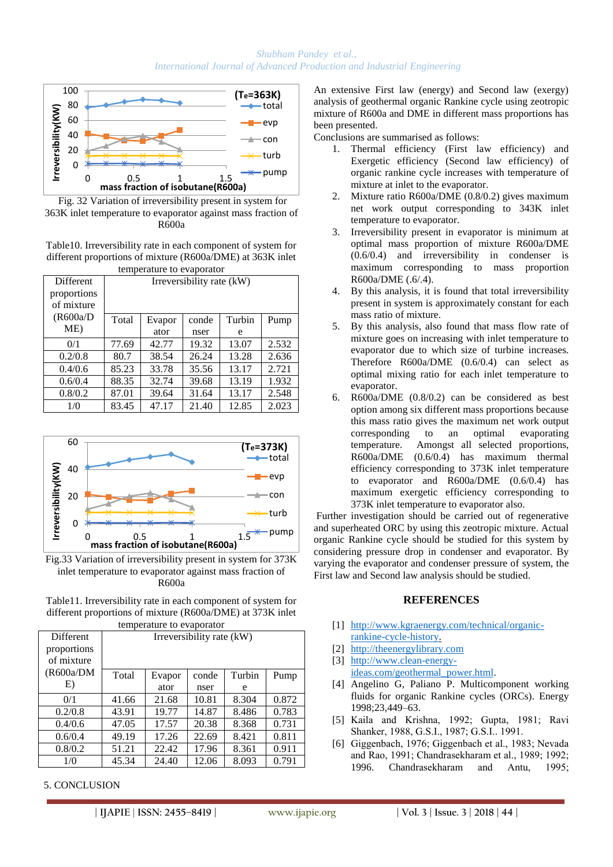

Fig. 32 Variation of irreversibility present in system for 363K inlet temperature to evaporator against mass fraction of  $R600a$ 

Table10. Irreversibility rate in each component of system for different proportions of mixture (R600a/DME) at 363K inlet temperature to evaporator

| temperature to evaporator |                           |        |       |        |       |  |  |
|---------------------------|---------------------------|--------|-------|--------|-------|--|--|
| Different                 | Irreversibility rate (kW) |        |       |        |       |  |  |
| proportions               |                           |        |       |        |       |  |  |
| of mixture                |                           |        |       |        |       |  |  |
| (R600a/D)                 | Total                     | Evapor | conde | Turbin | Pump  |  |  |
| ME)                       |                           | ator   | nser  | e      |       |  |  |
| 0/1                       | 77.69                     | 42.77  | 19.32 | 13.07  | 2.532 |  |  |
| 0.2/0.8                   | 80.7                      | 38.54  | 26.24 | 13.28  | 2.636 |  |  |
| 0.4/0.6                   | 85.23                     | 33.78  | 35.56 | 13.17  | 2.721 |  |  |
| 0.6/0.4                   | 88.35                     | 32.74  | 39.68 | 13.19  | 1.932 |  |  |
| 0.8/0.2                   | 87.01                     | 39.64  | 31.64 | 13.17  | 2.548 |  |  |
| 1/0                       | 83.45                     | 47.17  | 21.40 | 12.85  | 2.023 |  |  |



Fig.33 Variation of irreversibility present in system for 373K inlet temperature to evaporator against mass fraction of R600a

Table11. Irreversibility rate in each component of system for different proportions of mixture (R600a/DME) at 373K inlet temperature to evaporator

|                  | temperature to evaporatur |        |       |        |       |  |  |  |  |
|------------------|---------------------------|--------|-------|--------|-------|--|--|--|--|
| <b>Different</b> | Irreversibility rate (kW) |        |       |        |       |  |  |  |  |
| proportions      |                           |        |       |        |       |  |  |  |  |
| of mixture       |                           |        |       |        |       |  |  |  |  |
| (R600a/DM)       | Total                     | Evapor | conde | Turbin | Pump  |  |  |  |  |
| E)               |                           | ator   | nser  | e      |       |  |  |  |  |
| 0/1              | 41.66                     | 21.68  | 10.81 | 8.304  | 0.872 |  |  |  |  |
| 0.2/0.8          | 43.91                     | 19.77  | 14.87 | 8.486  | 0.783 |  |  |  |  |
| 0.4/0.6          | 47.05                     | 17.57  | 20.38 | 8.368  | 0.731 |  |  |  |  |
| 0.6/0.4          | 49.19                     | 17.26  | 22.69 | 8.421  | 0.811 |  |  |  |  |
| 0.8/0.2          | 51.21                     | 22.42  | 17.96 | 8.361  | 0.911 |  |  |  |  |
| 1/0              | 45.34                     | 24.40  | 12.06 | 8.093  | 0.791 |  |  |  |  |

### 5. CONCLUSION

An extensive First law (energy) and Second law (exergy) analysis of geothermal organic Rankine cycle using zeotropic mixture of R600a and DME in different mass proportions has been presented.

Conclusions are summarised as follows:

- 1. Thermal efficiency (First law efficiency) and Exergetic efficiency (Second law efficiency) of organic rankine cycle increases with temperature of mixture at inlet to the evaporator.
- 2. Mixture ratio R600a/DME (0.8/0.2) gives maximum net work output corresponding to 343K inlet temperature to evaporator.
- 3. Irreversibility present in evaporator is minimum at optimal mass proportion of mixture R600a/DME (0.6/0.4) and irreversibility in condenser is maximum corresponding to mass proportion R600a/DME (.6/.4).
- 4. By this analysis, it is found that total irreversibility present in system is approximately constant for each mass ratio of mixture.
- 5. By this analysis, also found that mass flow rate of mixture goes on increasing with inlet temperature to evaporator due to which size of turbine increases. Therefore R600a/DME (0.6/0.4) can select as optimal mixing ratio for each inlet temperature to evaporator.
- 6. R600a/DME (0.8/0.2) can be considered as best option among six different mass proportions because this mass ratio gives the maximum net work output corresponding to an optimal evaporating temperature. Amongst all selected proportions, R600a/DME (0.6/0.4) has maximum thermal efficiency corresponding to 373K inlet temperature to evaporator and R600a/DME (0.6/0.4) has maximum exergetic efficiency corresponding to 373K inlet temperature to evaporator also.

Further investigation should be carried out of regenerative and superheated ORC by using this zeotropic mixture. Actual organic Rankine cycle should be studied for this system by considering pressure drop in condenser and evaporator. By varying the evaporator and condenser pressure of system, the First law and Second law analysis should be studied.

### **REFERENCES**

- [1] [http://www.kgraenergy.com/technical/organic](http://www.kgraenergy.com/technical/organic-rankine-cycle-history)[rankine-cycle-history.](http://www.kgraenergy.com/technical/organic-rankine-cycle-history)
- [2] [http://theenergylibrary.com](http://theenergylibrary.com/)
- [3] [http://www.clean-energy](http://www.clean-energy-ideas.com/geothermal_power.html)[ideas.com/geothermal\\_power.html.](http://www.clean-energy-ideas.com/geothermal_power.html)
- [4] Angelino G, Paliano P. Multicomponent working fluids for organic Rankine cycles (ORCs). Energy 1998;23,449–63.
- [5] Kaila and Krishna, 1992; Gupta, 1981; Ravi Shanker, 1988, G.S.I., 1987; G.S.I., 1991.
- [6] Giggenbach, 1976; Giggenbach et al., 1983; Nevada and Rao, 1991; Chandrasekharam et al., 1989; 1992; 1996. Chandrasekharam and Antu, 1995;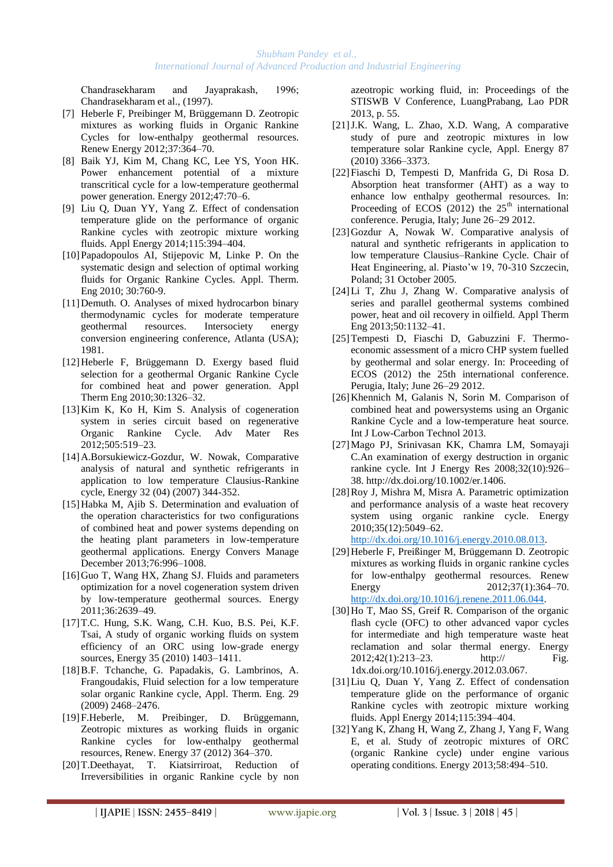Chandrasekharam and Jayaprakash, 1996; Chandrasekharam et al., (1997).

- [7] Heberle F, Preibinger M, Brüggemann D. Zeotropic mixtures as working fluids in Organic Rankine Cycles for low-enthalpy geothermal resources. Renew Energy 2012;37:364–70.
- [8] Baik YJ, Kim M, Chang KC, Lee YS, Yoon HK. Power enhancement potential of a mixture transcritical cycle for a low-temperature geothermal power generation. Energy 2012;47:70–6.
- [9] Liu Q, Duan YY, Yang Z. Effect of condensation temperature glide on the performance of organic Rankine cycles with zeotropic mixture working fluids. Appl Energy 2014;115:394–404.
- [10]Papadopoulos AI, Stijepovic M, Linke P. On the systematic design and selection of optimal working fluids for Organic Rankine Cycles. Appl. Therm. Eng 2010; 30:760-9.
- [11]Demuth. O. Analyses of mixed hydrocarbon binary thermodynamic cycles for moderate temperature geothermal resources. Intersociety energy conversion engineering conference, Atlanta (USA); 1981.
- [12]Heberle F, Brüggemann D. Exergy based fluid selection for a geothermal Organic Rankine Cycle for combined heat and power generation. Appl Therm Eng 2010;30:1326–32.
- [13]Kim K, Ko H, Kim S. Analysis of cogeneration system in series circuit based on regenerative Organic Rankine Cycle. Adv Mater Res 2012;505:519–23.
- [14]A.Borsukiewicz-Gozdur, W. Nowak, Comparative analysis of natural and synthetic refrigerants in application to low temperature Clausius-Rankine cycle, Energy 32 (04) (2007) 344-352.
- [15]Habka M, Ajib S. Determination and evaluation of the operation characteristics for two configurations of combined heat and power systems depending on the heating plant parameters in low-temperature geothermal applications. Energy Convers Manage December 2013;76:996–1008.
- [16]Guo T, Wang HX, Zhang SJ. Fluids and parameters optimization for a novel cogeneration system driven by low-temperature geothermal sources. Energy 2011;36:2639–49.
- [17]T.C. Hung, S.K. Wang, C.H. Kuo, B.S. Pei, K.F. Tsai, A study of organic working fluids on system efficiency of an ORC using low-grade energy sources, Energy 35 (2010) 1403–1411.
- [18]B.F. Tchanche, G. Papadakis, G. Lambrinos, A. Frangoudakis, Fluid selection for a low temperature solar organic Rankine cycle, Appl. Therm. Eng. 29 (2009) 2468–2476.
- [19]F.Heberle, M. Preibinger, D. Brüggemann, Zeotropic mixtures as working fluids in organic Rankine cycles for low-enthalpy geothermal resources, Renew. Energy 37 (2012) 364–370.
- [20]T.Deethayat, T. Kiatsirriroat, Reduction of Irreversibilities in organic Rankine cycle by non

azeotropic working fluid, in: Proceedings of the STISWB V Conference, LuangPrabang, Lao PDR 2013, p. 55.

- [21]J.K. Wang, L. Zhao, X.D. Wang, A comparative study of pure and zeotropic mixtures in low temperature solar Rankine cycle, Appl. Energy 87 (2010) 3366–3373.
- [22]Fiaschi D, Tempesti D, Manfrida G, Di Rosa D. Absorption heat transformer (AHT) as a way to enhance low enthalpy geothermal resources. In: Proceeding of ECOS  $(2012)$  the  $25<sup>th</sup>$  international conference. Perugia, Italy; June 26–29 2012.
- [23]Gozdur A, Nowak W. Comparative analysis of natural and synthetic refrigerants in application to low temperature Clausius–Rankine Cycle. Chair of Heat Engineering, al. Piasto'w 19, 70-310 Szczecin, Poland; 31 October 2005.
- [24]Li T, Zhu J, Zhang W. Comparative analysis of series and parallel geothermal systems combined power, heat and oil recovery in oilfield. Appl Therm Eng 2013;50:1132–41.
- [25]Tempesti D, Fiaschi D, Gabuzzini F. Thermoeconomic assessment of a micro CHP system fuelled by geothermal and solar energy. In: Proceeding of ECOS (2012) the 25th international conference. Perugia, Italy; June 26–29 2012.
- [26]Khennich M, Galanis N, Sorin M. Comparison of combined heat and powersystems using an Organic Rankine Cycle and a low-temperature heat source. Int J Low-Carbon Technol 2013.
- [27]Mago PJ, Srinivasan KK, Chamra LM, Somayaji C.An examination of exergy destruction in organic rankine cycle. Int J Energy Res 2008;32(10):926– 38. http://dx.doi.org/10.1002/er.1406.
- [28]Roy J, Mishra M, Misra A. Parametric optimization and performance analysis of a waste heat recovery system using organic rankine cycle. Energy 2010;35(12):5049–62. [http://dx.doi.org/10.1016/j.energy.2010.08.013.](http://dx.doi.org/10.1016/j.energy.2010.08.013)
- [29]Heberle F, Preißinger M, Brüggemann D. Zeotropic mixtures as working fluids in organic rankine cycles for low-enthalpy geothermal resources. Renew Energy 2012;37(1):364–70. [http://dx.doi.org/10.1016/j.renene.2011.06.044.](http://dx.doi.org/10.1016/j.renene.2011.06.044)
- [30]Ho T, Mao SS, Greif R. Comparison of the organic flash cycle (OFC) to other advanced vapor cycles for intermediate and high temperature waste heat reclamation and solar thermal energy. Energy 2012;42(1):213–23. http:// Fig. 1dx.doi.org/10.1016/j.energy.2012.03.067.
- [31]Liu Q, Duan Y, Yang Z. Effect of condensation temperature glide on the performance of organic Rankine cycles with zeotropic mixture working fluids. Appl Energy 2014;115:394–404.
- [32]Yang K, Zhang H, Wang Z, Zhang J, Yang F, Wang E, et al. Study of zeotropic mixtures of ORC (organic Rankine cycle) under engine various operating conditions. Energy 2013;58:494–510.